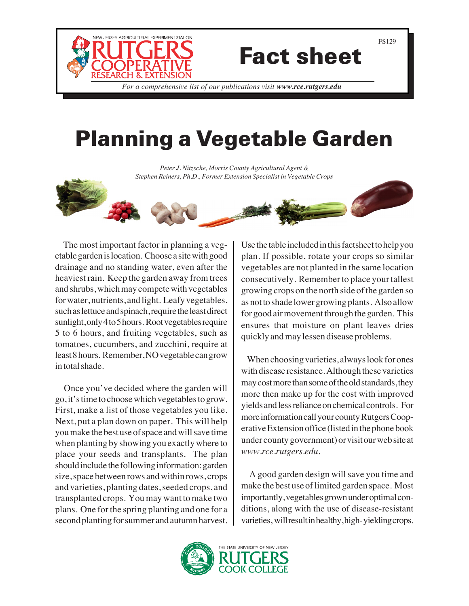

## Fact sheet

*For a comprehensive list of our publications visit www.rce.rutgers.edu*

## Planning a Vegetable Garden

*Peter J. Nitzsche, Morris County Agricultural Agent & Stephen Reiners, Ph.D., Former Extension Specialist in Vegetable Crops*



 The most important factor in planning a vegetable garden is location. Choose a site with good drainage and no standing water, even after the heaviest rain. Keep the garden away from trees and shrubs, which may compete with vegetables for water, nutrients, and light. Leafy vegetables, such as lettuce and spinach, require the least direct sunlight, only 4 to 5 hours. Root vegetables require 5 to 6 hours, and fruiting vegetables, such as tomatoes, cucumbers, and zucchini, require at least 8 hours. Remember, NO vegetable can grow in total shade.

 Once you've decided where the garden will go, it's time to choose which vegetables to grow. First, make a list of those vegetables you like. Next, put a plan down on paper. This will help you make the best use of space and will save time when planting by showing you exactly where to place your seeds and transplants. The plan should include the following information: garden size, space between rows and within rows, crops and varieties, planting dates, seeded crops, and transplanted crops. You may want to make two plans. One for the spring planting and one for a second planting for summer and autumn harvest.

Use the table included in this factsheet to help you plan. If possible, rotate your crops so similar vegetables are not planted in the same location consecutively. Remember to place your tallest growing crops on the north side of the garden so as not to shade lower growing plants. Also allow for good air movement through the garden. This ensures that moisture on plant leaves dries quickly and may lessen disease problems.

 When choosing varieties, always look for ones with disease resistance. Although these varieties may cost more than some of the old standards, they more then make up for the cost with improved yields and less reliance on chemical controls. For more information call your county Rutgers Cooperative Extension office (listed in the phone book under county government) or visit our web site at *www.rce.rutgers.edu*.

 A good garden design will save you time and make the best use of limited garden space. Most importantly, vegetables grown under optimal conditions, along with the use of disease-resistant varieties, will result in healthy, high- yielding crops.